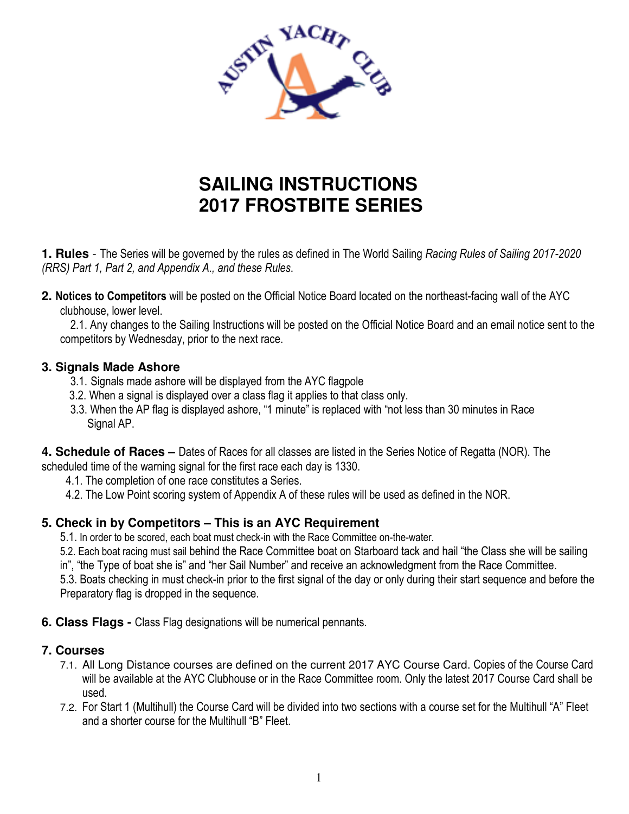

# **SAILING INSTRUCTIONS 2017 FROSTBITE SERIES**

**1. Rules** - The Series will be governed by the rules as defined in The World Sailing *Racing Rules of Sailing 2017-2020 (RRS) Part 1, Part 2, and Appendix A., and these Rules*.

**2. Notices to Competitors** will be posted on the Official Notice Board located on the northeast-facing wall of the AYC clubhouse, lower level.

 2.1. Any changes to the Sailing Instructions will be posted on the Official Notice Board and an email notice sent to the competitors by Wednesday, prior to the next race.

#### **3. Signals Made Ashore**

- 3.1. Signals made ashore will be displayed from the AYC flagpole
- 3.2. When a signal is displayed over a class flag it applies to that class only.
- 3.3. When the AP flag is displayed ashore, "1 minute" is replaced with "not less than 30 minutes in Race Signal AP.

**4. Schedule of Races –** Dates of Races for all classes are listed in the Series Notice of Regatta (NOR). The scheduled time of the warning signal for the first race each day is 1330.

- 4.1. The completion of one race constitutes a Series.
- 4.2. The Low Point scoring system of Appendix A of these rules will be used as defined in the NOR.

## **5. Check in by Competitors – This is an AYC Requirement**

5.1. In order to be scored, each boat must check-in with the Race Committee on-the-water.

5.2. Each boat racing must sail behind the Race Committee boat on Starboard tack and hail "the Class she will be sailing

in", "the Type of boat she is" and "her Sail Number" and receive an acknowledgment from the Race Committee.

 5.3. Boats checking in must check-in prior to the first signal of the day or only during their start sequence and before the Preparatory flag is dropped in the sequence.

**6. Class Flags -** Class Flag designations will be numerical pennants.

#### **7. Courses**

- 7.1. All Long Distance courses are defined on the current 2017 AYC Course Card. Copies of the Course Card will be available at the AYC Clubhouse or in the Race Committee room. Only the latest 2017 Course Card shall be used.
- 7.2. For Start 1 (Multihull) the Course Card will be divided into two sections with a course set for the Multihull "A" Fleet and a shorter course for the Multihull "B" Fleet.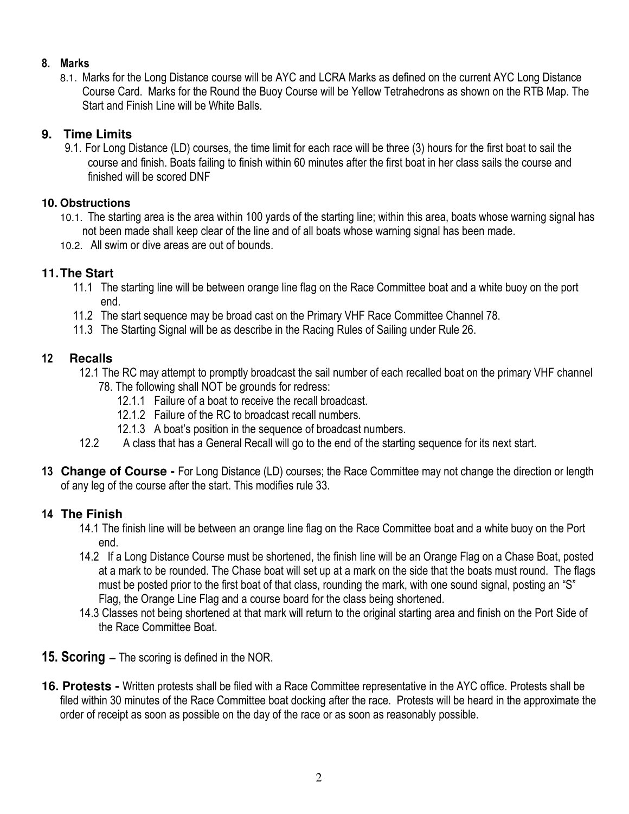#### **8. Marks**

8.1. Marks for the Long Distance course will be AYC and LCRA Marks as defined on the current AYC Long Distance Course Card. Marks for the Round the Buoy Course will be Yellow Tetrahedrons as shown on the RTB Map. The Start and Finish Line will be White Balls.

## **9. Time Limits**

9.1. For Long Distance (LD) courses, the time limit for each race will be three (3) hours for the first boat to sail the course and finish. Boats failing to finish within 60 minutes after the first boat in her class sails the course and finished will be scored DNF

## **10. Obstructions**

- 10.1. The starting area is the area within 100 yards of the starting line; within this area, boats whose warning signal has not been made shall keep clear of the line and of all boats whose warning signal has been made.
- 10.2. All swim or dive areas are out of bounds.

# **11. The Start**

- 11.1 The starting line will be between orange line flag on the Race Committee boat and a white buoy on the port end.
- 11.2 The start sequence may be broad cast on the Primary VHF Race Committee Channel 78.
- 11.3 The Starting Signal will be as describe in the Racing Rules of Sailing under Rule 26.

## **12 Recalls**

- 12.1 The RC may attempt to promptly broadcast the sail number of each recalled boat on the primary VHF channel 78. The following shall NOT be grounds for redress:
	- 12.1.1 Failure of a boat to receive the recall broadcast.
	- 12.1.2 Failure of the RC to broadcast recall numbers.
	- 12.1.3 A boat's position in the sequence of broadcast numbers.
- 12.2 A class that has a General Recall will go to the end of the starting sequence for its next start.
- **13 Change of Course** For Long Distance (LD) courses; the Race Committee may not change the direction or length of any leg of the course after the start. This modifies rule 33.

# **14 The Finish**

- 14.1 The finish line will be between an orange line flag on the Race Committee boat and a white buoy on the Port end.
- 14.2 If a Long Distance Course must be shortened, the finish line will be an Orange Flag on a Chase Boat, posted at a mark to be rounded. The Chase boat will set up at a mark on the side that the boats must round. The flags must be posted prior to the first boat of that class, rounding the mark, with one sound signal, posting an "S" Flag, the Orange Line Flag and a course board for the class being shortened.
- 14.3 Classes not being shortened at that mark will return to the original starting area and finish on the Port Side of the Race Committee Boat.
- **15. Scoring** The scoring is defined in the NOR.
- **16. Protests** Written protests shall be filed with a Race Committee representative in the AYC office. Protests shall be filed within 30 minutes of the Race Committee boat docking after the race. Protests will be heard in the approximate the order of receipt as soon as possible on the day of the race or as soon as reasonably possible.